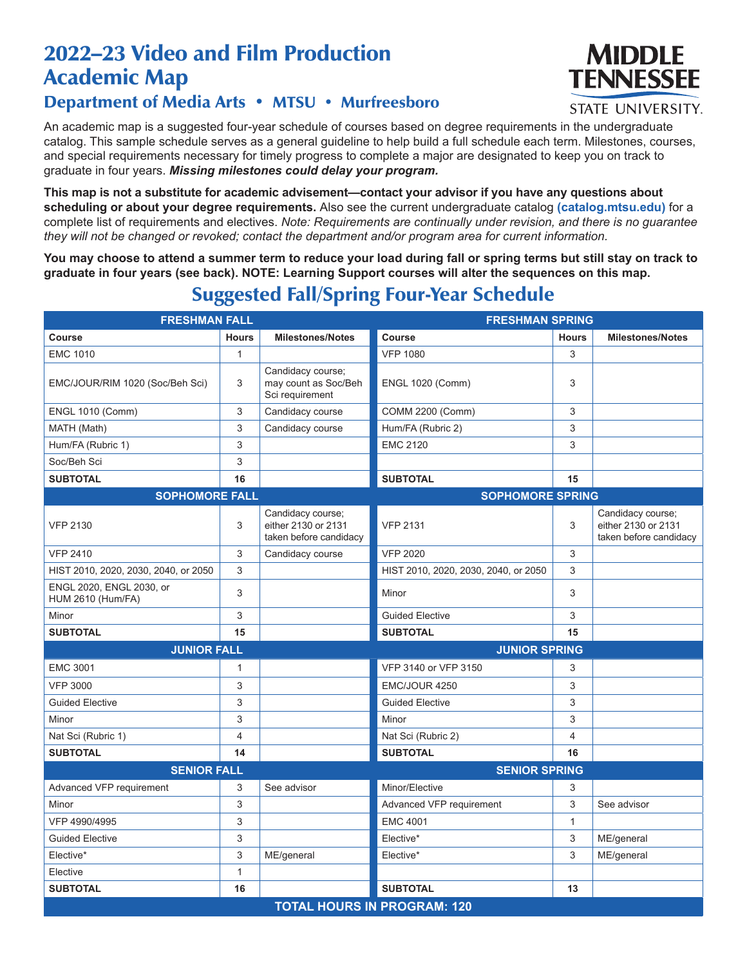## 2022–23 Video and Film Production Academic Map

## Department of Media Arts • MTSU • Murfreesboro

An academic map is a suggested four-year schedule of courses based on degree requirements in the undergraduate catalog. This sample schedule serves as a general guideline to help build a full schedule each term. Milestones, courses, and special requirements necessary for timely progress to complete a major are designated to keep you on track to graduate in four years. *Missing milestones could delay your program.*

**This map is not a substitute for academic advisement—contact your advisor if you have any questions about scheduling or about your degree requirements.** Also see the current undergraduate catalog **(catalog.mtsu.edu)** for a complete list of requirements and electives. *Note: Requirements are continually under revision, and there is no guarantee they will not be changed or revoked; contact the department and/or program area for current information.*

**You may choose to attend a summer term to reduce your load during fall or spring terms but still stay on track to graduate in four years (see back). NOTE: Learning Support courses will alter the sequences on this map.**

| <b>FRESHMAN FALL</b>                                 |                           |                                                                    | <b>FRESHMAN SPRING</b>               |              |                                                                    |  |  |
|------------------------------------------------------|---------------------------|--------------------------------------------------------------------|--------------------------------------|--------------|--------------------------------------------------------------------|--|--|
| <b>Course</b>                                        | <b>Hours</b>              | <b>Milestones/Notes</b>                                            | Course                               | <b>Hours</b> | <b>Milestones/Notes</b>                                            |  |  |
| <b>EMC 1010</b>                                      | $\mathbf{1}$              |                                                                    | <b>VFP 1080</b>                      | 3            |                                                                    |  |  |
| EMC/JOUR/RIM 1020 (Soc/Beh Sci)                      | 3                         | Candidacy course;<br>may count as Soc/Beh<br>Sci requirement       | <b>ENGL 1020 (Comm)</b>              | 3            |                                                                    |  |  |
| <b>ENGL 1010 (Comm)</b>                              | 3                         | Candidacy course                                                   | <b>COMM 2200 (Comm)</b>              | 3            |                                                                    |  |  |
| MATH (Math)                                          | 3                         | Candidacy course                                                   | Hum/FA (Rubric 2)                    | 3            |                                                                    |  |  |
| Hum/FA (Rubric 1)                                    | 3                         |                                                                    | <b>EMC 2120</b>                      | 3            |                                                                    |  |  |
| Soc/Beh Sci                                          | 3                         |                                                                    |                                      |              |                                                                    |  |  |
| <b>SUBTOTAL</b>                                      | 16                        |                                                                    | <b>SUBTOTAL</b>                      | 15           |                                                                    |  |  |
| <b>SOPHOMORE FALL</b>                                |                           |                                                                    | <b>SOPHOMORE SPRING</b>              |              |                                                                    |  |  |
| <b>VFP 2130</b>                                      | 3                         | Candidacy course;<br>either 2130 or 2131<br>taken before candidacy | <b>VFP 2131</b>                      | 3            | Candidacy course;<br>either 2130 or 2131<br>taken before candidacy |  |  |
| <b>VFP 2410</b>                                      | 3                         | Candidacy course                                                   | <b>VFP 2020</b>                      | 3            |                                                                    |  |  |
| HIST 2010, 2020, 2030, 2040, or 2050                 | 3                         |                                                                    | HIST 2010, 2020, 2030, 2040, or 2050 | 3            |                                                                    |  |  |
| ENGL 2020, ENGL 2030, or<br><b>HUM 2610 (Hum/FA)</b> | 3                         |                                                                    | Minor                                | 3            |                                                                    |  |  |
| Minor                                                | 3                         |                                                                    | <b>Guided Elective</b>               | 3            |                                                                    |  |  |
| <b>SUBTOTAL</b>                                      | 15                        |                                                                    | <b>SUBTOTAL</b>                      | 15           |                                                                    |  |  |
| <b>JUNIOR FALL</b>                                   |                           |                                                                    | <b>JUNIOR SPRING</b>                 |              |                                                                    |  |  |
| <b>EMC 3001</b>                                      | $\mathbf{1}$              |                                                                    | VFP 3140 or VFP 3150                 | 3            |                                                                    |  |  |
| <b>VFP 3000</b>                                      | $\ensuremath{\mathsf{3}}$ |                                                                    | EMC/JOUR 4250                        | 3            |                                                                    |  |  |
| <b>Guided Elective</b>                               | 3                         |                                                                    | <b>Guided Elective</b>               | 3            |                                                                    |  |  |
| Minor                                                | 3                         |                                                                    | Minor                                | 3            |                                                                    |  |  |
| Nat Sci (Rubric 1)                                   | $\overline{4}$            |                                                                    | Nat Sci (Rubric 2)                   | 4            |                                                                    |  |  |
| <b>SUBTOTAL</b>                                      | 14                        |                                                                    | <b>SUBTOTAL</b>                      | 16           |                                                                    |  |  |
| <b>SENIOR FALL</b>                                   |                           |                                                                    | <b>SENIOR SPRING</b>                 |              |                                                                    |  |  |
| Advanced VFP requirement                             | 3                         | See advisor                                                        | Minor/Elective                       | 3            |                                                                    |  |  |
| Minor                                                | 3                         |                                                                    | Advanced VFP requirement             | 3            | See advisor                                                        |  |  |
| VFP 4990/4995                                        | 3                         |                                                                    | <b>EMC 4001</b>                      | $\mathbf{1}$ |                                                                    |  |  |
| <b>Guided Elective</b>                               | 3                         |                                                                    | Elective*                            | 3            | ME/general                                                         |  |  |
| Elective*                                            | 3                         | ME/general                                                         | Elective*                            | 3            | ME/general                                                         |  |  |
| Elective                                             | $\mathbf{1}$              |                                                                    |                                      |              |                                                                    |  |  |
| <b>SUBTOTAL</b>                                      | 16                        |                                                                    | <b>SUBTOTAL</b>                      | 13           |                                                                    |  |  |
| <b>TOTAL HOURS IN PROGRAM: 120</b>                   |                           |                                                                    |                                      |              |                                                                    |  |  |

## Suggested Fall/Spring Four-Year Schedule



**STATE UNIVERSITY.**